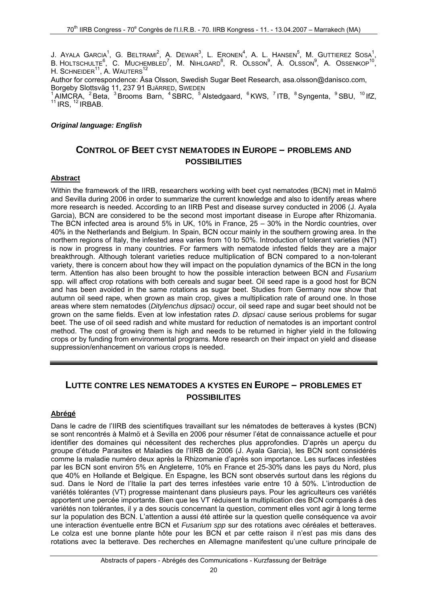J. Ayala Garcia<sup>1</sup>, G. Beltrami<sup>2</sup>, A. Dewar $^3$ , L. Eronen $^4$ , A. L. Hansen $^5$ , M. Guttierez Sosa $^1$ ,  $B$ . Holtschulte $^6$ , C. Muchembled $^7$ , M. Nihlgard $^8$ , R. Olsson $^9$ , Å. Olsson $^9$ , A. Ossenkop $^{10}$ , H. SCHNEIDER<sup>11</sup>, A. WAUTERS<sup>12</sup>

Author for correspondence: Åsa Olsson, Swedish Sugar Beet Research, asa.olsson@danisco.com, Borgeby Slottsväg 11, 237 91 BJÄRRED, SWEDEN

AIMCRA, <sup>2</sup> Beta, <sup>3</sup> Brooms Barn, <sup>4</sup> SBRC, <sup>5</sup> Alstedgaard, <sup>6</sup> KWS, <sup>7</sup> ITB, <sup>8</sup> Syngenta, <sup>9</sup> SBU, <sup>10</sup> IfZ,  $11$  IRS,  $12$  IRBAB.

#### *Original language: English*

## **CONTROL OF BEET CYST NEMATODES IN EUROPE – PROBLEMS AND POSSIBILITIES**

#### **Abstract**

Within the framework of the IIRB, researchers working with beet cyst nematodes (BCN) met in Malmö and Sevilla during 2006 in order to summarize the current knowledge and also to identify areas where more research is needed. According to an IIRB Pest and disease survey conducted in 2006 (J. Ayala Garcia), BCN are considered to be the second most important disease in Europe after Rhizomania. The BCN infected area is around 5% in UK, 10% in France, 25 – 30% in the Nordic countries, over 40% in the Netherlands and Belgium. In Spain, BCN occur mainly in the southern growing area. In the northern regions of Italy, the infested area varies from 10 to 50%. Introduction of tolerant varieties (NT) is now in progress in many countries. For farmers with nematode infested fields they are a major breakthrough. Although tolerant varieties reduce multiplication of BCN compared to a non-tolerant variety, there is concern about how they will impact on the population dynamics of the BCN in the long term. Attention has also been brought to how the possible interaction between BCN and *Fusarium* spp. will affect crop rotations with both cereals and sugar beet. Oil seed rape is a good host for BCN and has been avoided in the same rotations as sugar beet. Studies from Germany now show that autumn oil seed rape, when grown as main crop, gives a multiplication rate of around one. In those areas where stem nematodes (*Ditylenchus dipsaci)* occur, oil seed rape and sugar beet should not be grown on the same fields. Even at low infestation rates *D. dipsaci* cause serious problems for sugar beet. The use of oil seed radish and white mustard for reduction of nematodes is an important control method. The cost of growing them is high and needs to be returned in higher yield in the following crops or by funding from environmental programs. More research on their impact on yield and disease suppression/enhancement on various crops is needed.

# **LUTTE CONTRE LES NEMATODES A KYSTES EN EUROPE – PROBLEMES ET POSSIBILITES**

### **Abrégé**

Dans le cadre de l'IIRB des scientifiques travaillant sur les nématodes de betteraves à kystes (BCN) se sont rencontrés à Malmö et à Sevilla en 2006 pour résumer l'état de connaissance actuelle et pour identifier des domaines qui nécessitent des recherches plus approfondies. D'après un aperçu du groupe d'étude Parasites et Maladies de l'IIRB de 2006 (J. Ayala Garcia), les BCN sont considérés comme la maladie numéro deux après la Rhizomanie d'après son importance. Les surfaces infestées par les BCN sont environ 5% en Angleterre, 10% en France et 25-30% dans les pays du Nord, plus que 40% en Hollande et Belgique. En Espagne, les BCN sont observés surtout dans les régions du sud. Dans le Nord de l'Italie la part des terres infestées varie entre 10 à 50%. L'introduction de variétés tolérantes (VT) progresse maintenant dans plusieurs pays. Pour les agriculteurs ces variétés apportent une percée importante. Bien que les VT réduisent la multiplication des BCN comparés à des variétés non tolérantes, il y a des soucis concernant la question, comment elles vont agir à long terme sur la population des BCN. L'attention a aussi été attirée sur la question quelle conséquence va avoir une interaction éventuelle entre BCN et *Fusarium spp* sur des rotations avec céréales et betteraves. Le colza est une bonne plante hôte pour les BCN et par cette raison il n'est pas mis dans des rotations avec la betterave. Des recherches en Allemagne manifestent qu'une culture principale de